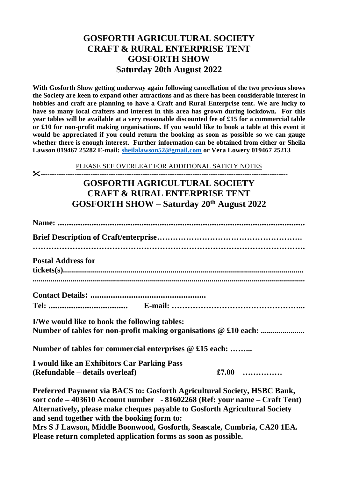## **GOSFORTH AGRICULTURAL SOCIETY CRAFT & RURAL ENTERPRISE TENT GOSFORTH SHOW Saturday 20th August 2022**

**With Gosforth Show getting underway again following cancellation of the two previous shows the Society are keen to expand other attractions and as there has been considerable interest in hobbies and craft are planning to have a Craft and Rural Enterprise tent. We are lucky to have so many local crafters and interest in this area has grown during lockdown. For this year tables will be available at a very reasonable discounted fee of £15 for a commercial table or £10 for non-profit making organisations. If you would like to book a table at this event it would be appreciated if you could return the booking as soon as possible so we can gauge whether there is enough interest. Further information can be obtained from either or Sheila Lawson 019467 25282 E-mail: [sheilalawson52@gmail.com](mailto:sheilalawson52@gmail.com) or Vera Lowery 019467 25213**

PLEASE SEE OVERLEAF FOR ADDITIONAL SAFETY NOTES

**-------------------------------------------------------------------------------------------------------------**

## **GOSFORTH AGRICULTURAL SOCIETY CRAFT & RURAL ENTERPRISE TENT GOSFORTH SHOW – Saturday 20th August 2022**

| <b>Postal Address for</b>                                                                                                                                                                                                                                                                                                                                                   |
|-----------------------------------------------------------------------------------------------------------------------------------------------------------------------------------------------------------------------------------------------------------------------------------------------------------------------------------------------------------------------------|
|                                                                                                                                                                                                                                                                                                                                                                             |
|                                                                                                                                                                                                                                                                                                                                                                             |
| I/We would like to book the following tables:<br>Number of tables for non-profit making organisations @ £10 each:                                                                                                                                                                                                                                                           |
| Number of tables for commercial enterprises @ £15 each:                                                                                                                                                                                                                                                                                                                     |
| I would like an Exhibitors Car Parking Pass<br>£7.00<br>(Refundable – details overleaf)                                                                                                                                                                                                                                                                                     |
| Preferred Payment via BACS to: Gosforth Agricultural Society, HSBC Bank,<br>sort code – 403610 Account number - 81602268 (Ref: your name – Craft Tent)<br>Alternatively, please make cheques payable to Gosforth Agricultural Society<br>and send together with the booking form to:<br>$M_{\text{tot}}$ C I Lawson, Middle Deemwood, Costanth, Cooseele, Cumbrie, CA20.1EA |

**Mrs S J Lawson, Middle Boonwood, Gosforth, Seascale, Cumbria, CA20 1EA. Please return completed application forms as soon as possible.**